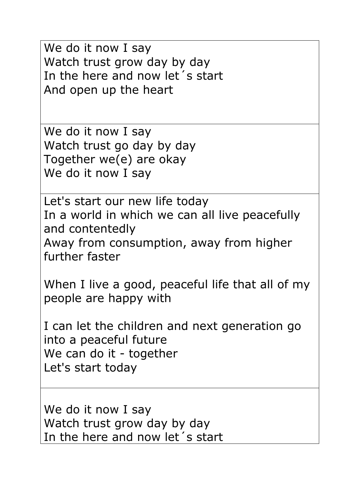We do it now I say Watch trust grow day by day In the here and now let´s start And open up the heart

We do it now I say Watch trust go day by day Together we(e) are okay We do it now I say

Let's start our new life today In a world in which we can all live peacefully and contentedly Away from consumption, away from higher further faster

When I live a good, peaceful life that all of my people are happy with

I can let the children and next generation go into a peaceful future We can do it - together Let's start today

We do it now I say Watch trust grow day by day In the here and now let´s start